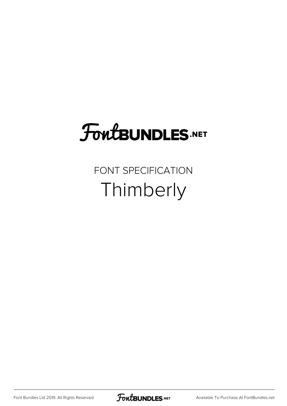## FoutBUNDLES.NET

FONT SPECIFICATION Thimberly

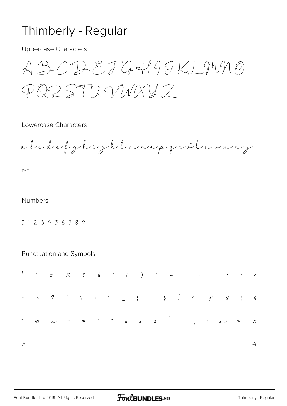## Thimberly - Regular

**Uppercase Characters** 

 $ABCDEFGH9HK1990$ PRRSTILYMXY2

## Lowercase Characters

abodefghijklmnapgreturmery

## **Numbers**

 $\sim$ 

0123456789

Punctuation and Symbols

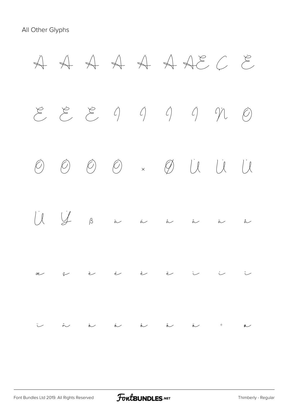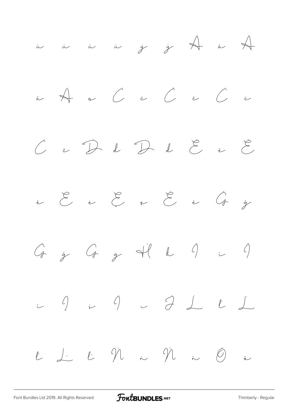

[Font Bundles Ltd 2019. All Rights Reserved](https://fontbundles.net/) **FoutBUNDLES.NET** [Thimberly - Regular](https://fontbundles.net/)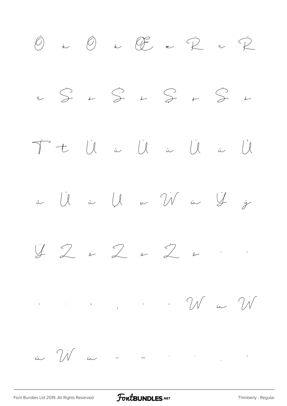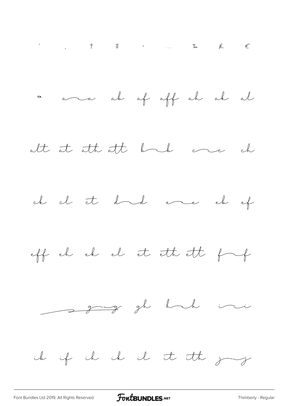

FontBUNDLES.NET